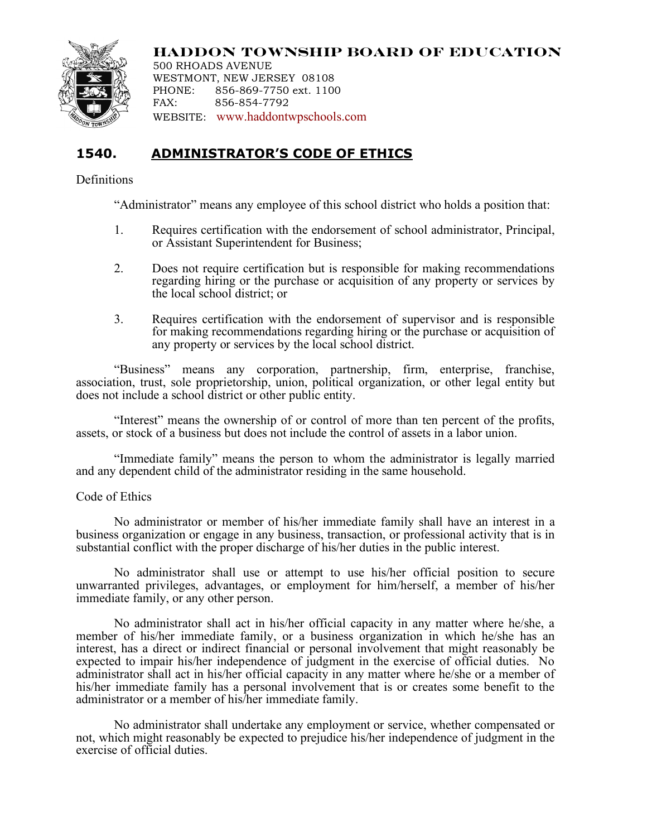

**HADDON TOWNSHIP BOARD OF EDUCATION**

500 RHOADS AVENUE WESTMONT, NEW JERSEY 08108 PHONE: 856-869-7750 ext. 1100 FAX: 856-854-7792 WEBSITE: www.haddontwpschools.com

## **1540. ADMINISTRATOR'S CODE OF ETHICS**

## Definitions

"Administrator" means any employee of this school district who holds a position that:

- 1. Requires certification with the endorsement of school administrator, Principal, or Assistant Superintendent for Business;
- 2. Does not require certification but is responsible for making recommendations regarding hiring or the purchase or acquisition of any property or services by the local school district; or
- 3. Requires certification with the endorsement of supervisor and is responsible for making recommendations regarding hiring or the purchase or acquisition of any property or services by the local school district.

"Business" means any corporation, partnership, firm, enterprise, franchise, association, trust, sole proprietorship, union, political organization, or other legal entity but does not include a school district or other public entity.

"Interest" means the ownership of or control of more than ten percent of the profits, assets, or stock of a business but does not include the control of assets in a labor union.

"Immediate family" means the person to whom the administrator is legally married and any dependent child of the administrator residing in the same household.

## Code of Ethics

No administrator or member of his/her immediate family shall have an interest in a business organization or engage in any business, transaction, or professional activity that is in substantial conflict with the proper discharge of his/her duties in the public interest.

No administrator shall use or attempt to use his/her official position to secure unwarranted privileges, advantages, or employment for him/herself, a member of his/her immediate family, or any other person.

No administrator shall act in his/her official capacity in any matter where he/she, a member of his/her immediate family, or a business organization in which he/she has an interest, has a direct or indirect financial or personal involvement that might reasonably be expected to impair his/her independence of judgment in the exercise of official duties. No administrator shall act in his/her official capacity in any matter where he/she or a member of his/her immediate family has a personal involvement that is or creates some benefit to the administrator or a member of his/her immediate family.

No administrator shall undertake any employment or service, whether compensated or not, which might reasonably be expected to prejudice his/her independence of judgment in the exercise of official duties.